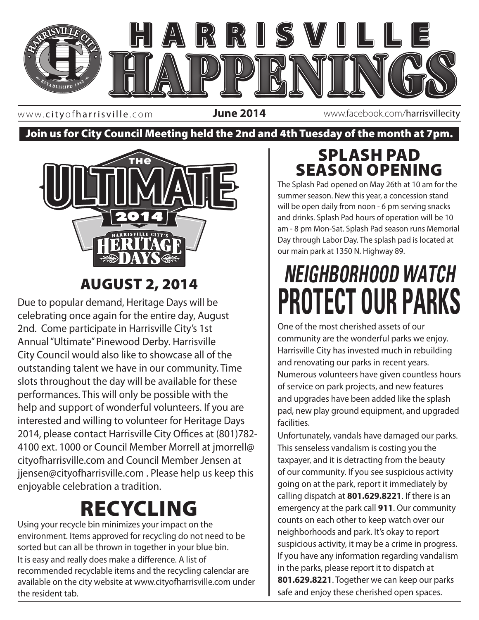

www. cityofharrisville .com

**June 2014** www.facebook.com/harrisvillecity

Join us for City Council Meeting held the 2nd and 4th Tuesday of the month at 7pm.



### AUGUST 2, 2014

Due to popular demand, Heritage Days will be celebrating once again for the entire day, August 2nd. Come participate in Harrisville City's 1st Annual "Ultimate" Pinewood Derby. Harrisville City Council would also like to showcase all of the outstanding talent we have in our community. Time slots throughout the day will be available for these performances. This will only be possible with the help and support of wonderful volunteers. If you are interested and willing to volunteer for Heritage Days 2014, please contact Harrisville City Offices at (801)782- 4100 ext. 1000 or Council Member Morrell at jmorrell@ cityofharrisville.com and Council Member Jensen at jjensen@cityofharrisville.com . Please help us keep this enjoyable celebration a tradition.

## RECYCLING

Using your recycle bin minimizes your impact on the environment. Items approved for recycling do not need to be sorted but can all be thrown in together in your blue bin. It is easy and really does make a difference. A list of recommended recyclable items and the recycling calendar are available on the city website at www.cityofharrisville.com under the resident tab.

### SPLASH PAD SEASON OPENING

The Splash Pad opened on May 26th at 10 am for the summer season. New this year, a concession stand will be open daily from noon - 6 pm serving snacks and drinks. Splash Pad hours of operation will be 10 am - 8 pm Mon-Sat. Splash Pad season runs Memorial Day through Labor Day. The splash pad is located at our main park at 1350 N. Highway 89.

# *NEIGHBORHOOD WATCH* **PROTECT OUR PARKS**

and the most cherished assets of our<br>state and the most cherished assets of our community are the wonderful parks we enjoy. Harrisville City has invested much in rebuilding and renovating our parks in recent years. Numerous volunteers have given countless hours of service on park projects, and new features and upgrades have been added like the splash pad, new play ground equipment, and upgraded facilities.

> Unfortunately, vandals have damaged our parks. This senseless vandalism is costing you the taxpayer, and it is detracting from the beauty of our community. If you see suspicious activity going on at the park, report it immediately by calling dispatch at **801.629.8221**. If there is an emergency at the park call **911**. Our community counts on each other to keep watch over our neighborhoods and park. It's okay to report suspicious activity, it may be a crime in progress. If you have any information regarding vandalism in the parks, please report it to dispatch at **801.629.8221**. Together we can keep our parks safe and enjoy these cherished open spaces.